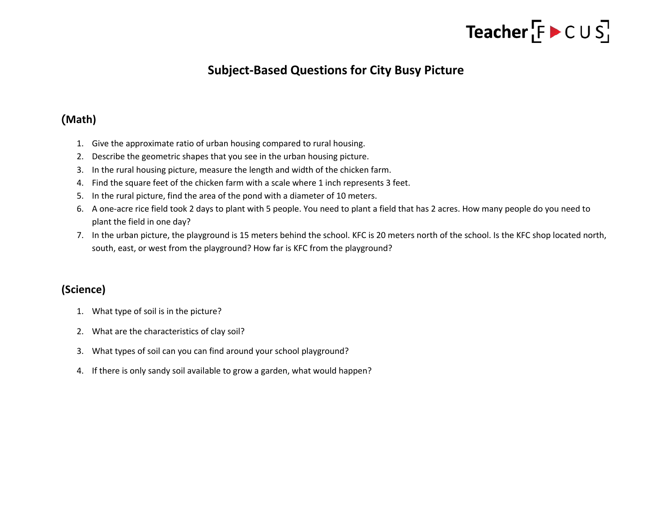### Teacher  $[F \triangleright C \cup S]$

### **Subject-Based Questions for City Busy Picture**

#### (**Math)**

- 1. Give the approximate ratio of urban housing compared to rural housing.
- 2. Describe the geometric shapes that you see in the urban housing picture.
- 3. In the rural housing picture, measure the length and width of the chicken farm.
- 4. Find the square feet of the chicken farm with a scale where 1 inch represents 3 feet.
- 5. In the rural picture, find the area of the pond with a diameter of 10 meters.
- 6. A one-acre rice field took 2 days to plant with 5 people. You need to plant a field that has 2 acres. How many people do you need to plant the field in one day?
- 7. In the urban picture, the playground is 15 meters behind the school. KFC is 20 meters north of the school. Is the KFC shop located north, south, east, or west from the playground? How far is KFC from the playground?

#### **(Science)**

- 1. What type of soil is in the picture?
- 2. What are the characteristics of clay soil?
- 3. What types of soil can you can find around your school playground?
- 4. If there is only sandy soil available to grow a garden, what would happen?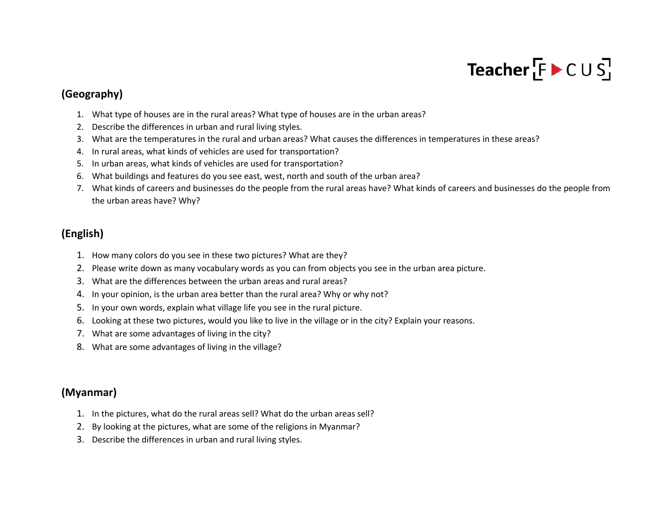## Teacher  $F \triangleright C \cup S$

#### **(Geography)**

- 1. What type of houses are in the rural areas? What type of houses are in the urban areas?
- 2. Describe the differences in urban and rural living styles.
- 3. What are the temperatures in the rural and urban areas? What causes the differences in temperatures in these areas?
- 4. In rural areas, what kinds of vehicles are used for transportation?
- 5. In urban areas, what kinds of vehicles are used for transportation?
- 6. What buildings and features do you see east, west, north and south of the urban area?
- 7. What kinds of careers and businesses do the people from the rural areas have? What kinds of careers and businesses do the people from the urban areas have? Why?

#### **(English)**

- 1. How many colors do you see in these two pictures? What are they?
- 2. Please write down as many vocabulary words as you can from objects you see in the urban area picture.
- 3. What are the differences between the urban areas and rural areas?
- 4. In your opinion, is the urban area better than the rural area? Why or why not?
- 5. In your own words, explain what village life you see in the rural picture.
- 6. Looking at these two pictures, would you like to live in the village or in the city? Explain your reasons.
- 7. What are some advantages of living in the city?
- 8. What are some advantages of living in the village?

#### **(Myanmar)**

- 1. In the pictures, what do the rural areas sell? What do the urban areas sell?
- 2. By looking at the pictures, what are some of the religions in Myanmar?
- 3. Describe the differences in urban and rural living styles.